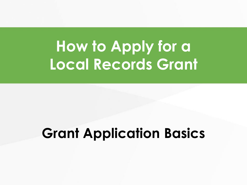### **How to Apply for a Local Records Grant**

#### **Grant Application Basics**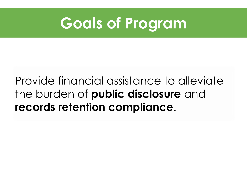

#### Provide financial assistance to alleviate the burden of **public disclosure** and **records retention compliance**.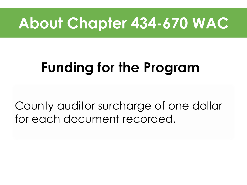#### **About Chapter 434-670 WAC**

### **Funding for the Program**

County auditor surcharge of one dollar for each document recorded.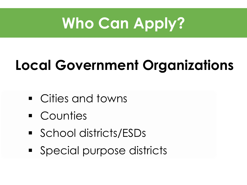### **Who Can Apply?**

### **Local Government Organizations**

- Cities and towns
- **Counties**
- School districts/ESDs
- **Special purpose districts**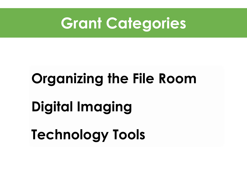

# **Organizing the File Room Digital Imaging Technology Tools**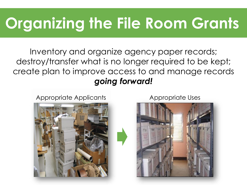### **Organizing the File Room Grants**

Inventory and organize agency paper records; destroy/transfer what is no longer required to be kept; create plan to improve access to and manage records *going forward!*

Appropriate Applicants Appropriate Uses



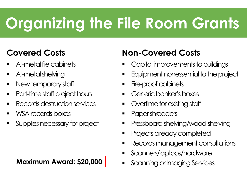### **Organizing the File Room Grants**

#### **Covered Costs**

- All-metal file cabinets
- **All-metal shelving**
- **New temporary staff**
- **Part-time staff project hours**
- **Records destruction services**
- **NSA records boxes**
- **Supplies necessary for project**

#### **Non-Covered Costs**

- Capital improvements to buildings
- **Equipment nonessential to the project**
- **Fire-proof cabinets**
- **Generic banker's boxes**
- **•** Overtime for existing staff
- **•** Paper shredders
- **Pressboard shelving/wood shelving**
- **Projects already completed**
- **Records management consultations**
- **Scanners/laptops/hardware**
- **Maximum Award: \$20,000** Scanning or Imaging Services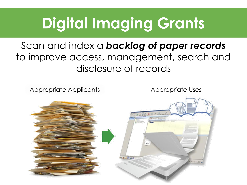### **Digital Imaging Grants**

#### Scan and index a *backlog of paper records*  to improve access, management, search and disclosure of records

Appropriate Applicants Appropriate Uses

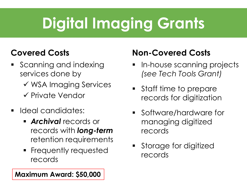### **Digital Imaging Grants**

#### **Covered Costs**

- **Scanning and indexing** services done by
	- WSA Imaging Services
	- $\checkmark$  Private Vendor
- **Ideal candidates:** 
	- *Archival* records or records with *long-term* retention requirements
	- **Filte Setular Frequested** records

#### **Non-Covered Costs**

- **In-house scanning projects** *(see Tech Tools Grant)*
- Staff time to prepare records for digitization
- **Software/hardware for** managing digitized records
- **Storage for digitized** records

**Maximum Award: \$50,000**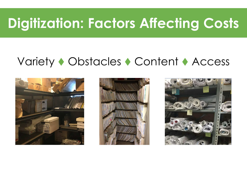#### **Digitization: Factors Affecting Costs**

#### Variety • Obstacles • Content • Access





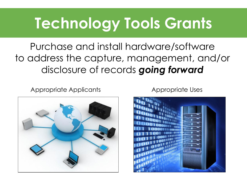### **Technology Tools Grants**

Purchase and install hardware/software to address the capture, management, and/or disclosure of records *going forward*

Appropriate Applicants Appropriate Uses





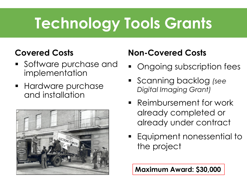### **Technology Tools Grants**

#### **Covered Costs**

- **Software purchase and** implementation
- **Hardware purchase** and installation



#### **Non-Covered Costs**

- **Ongoing subscription fees**
- Scanning backlog *(see Digital Imaging Grant)*
- **Reimbursement for work** already completed or already under contract
- Equipment nonessential to the project

**Maximum Award: \$30,000**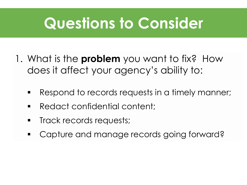#### **Questions to Consider**

- 1. What is the **problem** you want to fix? How does it affect your agency's ability to:
	- Respond to records requests in a timely manner;
	- **Redact confidential content;**
	- **Track records requests;**
	- Capture and manage records going forward?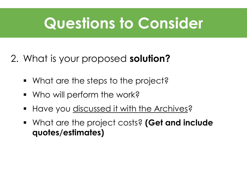### **Questions to Consider**

#### 2. What is your proposed **solution?**

- What are the steps to the project?
- **Who will perform the work?**
- **Have you discussed it with the Archives?**
- What are the project costs? **(Get and include quotes/estimates)**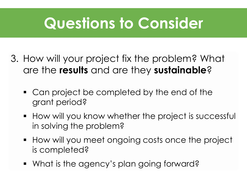### **Questions to Consider**

- 3. How will your project fix the problem? What are the **results** and are they **sustainable**?
	- Can project be completed by the end of the grant period?
	- **How will you know whether the project is successful** in solving the problem?
	- **How will you meet ongoing costs once the project** is completed?
	- What is the agency's plan going forward?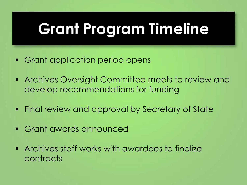### **Grant Program Timeline**

- **Grant application period opens**
- **Archives Oversight Committee meets to review and** develop recommendations for funding
- **Final review and approval by Secretary of State**
- Grant awards announced
- **EXECUTE: Archives staff works with awardees to finalize** contracts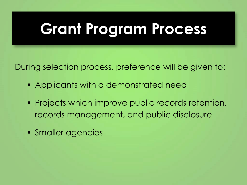### **Grant Program Process**

During selection process, preference will be given to:

- Applicants with a demonstrated need
- **Projects which improve public records retention,** records management, and public disclosure
- **Smaller agencies**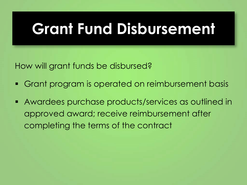### **Grant Fund Disbursement**

How will grant funds be disbursed?

- Grant program is operated on reimbursement basis
- Awardees purchase products/services as outlined in approved award; receive reimbursement after completing the terms of the contract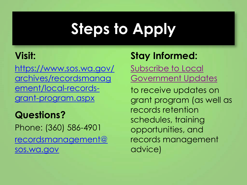## **Steps to Apply**

#### **Visit:**

https://www.sos.wa.gov/ [archives/recordsmanag](https://www.sos.wa.gov/archives/recordsmanagement/local-records-grant-program.aspx) ement/local-recordsgrant-program.aspx

**Questions?** Phone: (360) 586-4901 [recordsmanagement@](mailto:recordsmanagement@sos.wa.gov)  sos.wa.gov

#### **Stay Informed:**

Subscribe to Local [Government Updates](https://listserv.sos.wa.gov/scripts/wa-SOSWA.exe?SUBED1=LOCAL_GOVERNMENT_RECORDS_UPDATES&A=1) 

to receive updates on grant program (as well as records retention schedules, training opportunities, and records management advice)